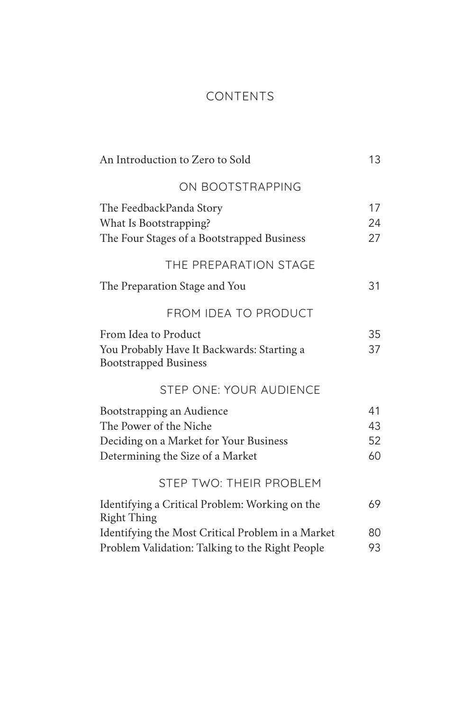# CONTENTS

| An Introduction to Zero to Sold                                                                                                   | 13                   |
|-----------------------------------------------------------------------------------------------------------------------------------|----------------------|
| ON BOOTSTRAPPING                                                                                                                  |                      |
| The FeedbackPanda Story<br>What Is Bootstrapping?<br>The Four Stages of a Bootstrapped Business                                   | 17<br>24<br>27       |
| THE PREPARATION STAGE                                                                                                             |                      |
| The Preparation Stage and You                                                                                                     | 31                   |
| <b>FROM IDEA TO PRODUCT</b>                                                                                                       |                      |
| From Idea to Product<br>You Probably Have It Backwards: Starting a<br><b>Bootstrapped Business</b>                                | 35<br>37             |
| STEP ONE: YOUR AUDIENCE                                                                                                           |                      |
| Bootstrapping an Audience<br>The Power of the Niche<br>Deciding on a Market for Your Business<br>Determining the Size of a Market | 41<br>43<br>52<br>60 |
| STEP TWO: THEIR PROBLEM                                                                                                           |                      |
| Identifying a Critical Problem: Working on the<br><b>Right Thing</b>                                                              | 69                   |
| Identifying the Most Critical Problem in a Market<br>Problem Validation: Talking to the Right People                              | 80<br>93             |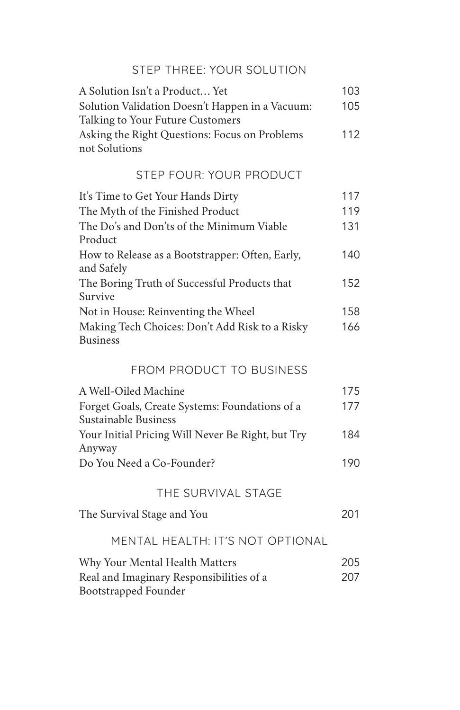# STEP THREE: YOUR SOLUTION

| A Solution Isn't a Product Yet                  | 103 |
|-------------------------------------------------|-----|
| Solution Validation Doesn't Happen in a Vacuum: | 105 |
| Talking to Your Future Customers                |     |
| Asking the Right Questions: Focus on Problems   | 112 |
| not Solutions                                   |     |

## STEP FOUR: YOUR PRODUCT

| It's Time to Get Your Hands Dirty                                 | 117 |
|-------------------------------------------------------------------|-----|
| The Myth of the Finished Product                                  | 119 |
| The Do's and Don'ts of the Minimum Viable<br>Product              | 131 |
| How to Release as a Bootstrapper: Often, Early,<br>and Safely     | 140 |
| The Boring Truth of Successful Products that<br>Survive           | 152 |
| Not in House: Reinventing the Wheel                               | 158 |
| Making Tech Choices: Don't Add Risk to a Risky<br><b>Business</b> | 166 |

#### FROM PRODUCT TO BUSINESS

| A Well-Oiled Machine                              | 175  |
|---------------------------------------------------|------|
| Forget Goals, Create Systems: Foundations of a    | 177  |
| Sustainable Business                              |      |
| Your Initial Pricing Will Never Be Right, but Try | 184  |
| Anyway                                            |      |
| Do You Need a Co-Founder?                         | 190. |

#### THE SURVIVAL STAGE

| The Survival Stage and You | 201 |
|----------------------------|-----|
|                            |     |

## MENTAL HEALTH: IT'S NOT OPTIONAL

| Why Your Mental Health Matters           | 205 |
|------------------------------------------|-----|
| Real and Imaginary Responsibilities of a | 207 |
| Bootstrapped Founder                     |     |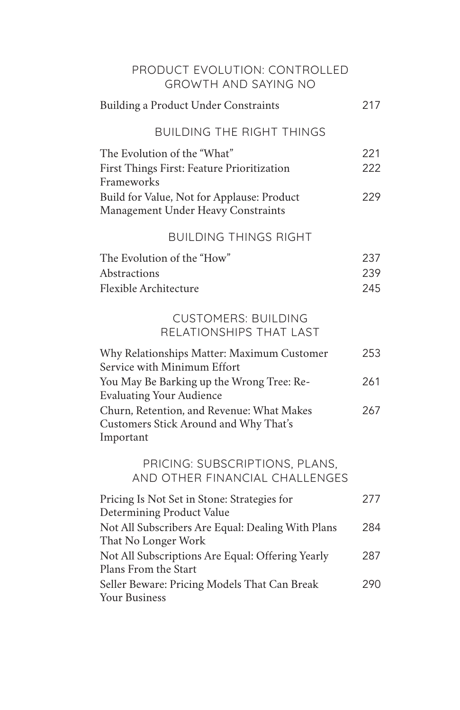| PRODUCT EVOLUTION: CONTROLLED<br><b>GROWTH AND SAYING NO</b>                                    |                   |
|-------------------------------------------------------------------------------------------------|-------------------|
| Building a Product Under Constraints                                                            | 217               |
| <b>BUILDING THE RIGHT THINGS</b>                                                                |                   |
| The Evolution of the "What"<br>First Things First: Feature Prioritization<br>Frameworks         | 221<br>222        |
| Build for Value, Not for Applause: Product<br>Management Under Heavy Constraints                | 229               |
| <b>BUILDING THINGS RIGHT</b>                                                                    |                   |
| The Evolution of the "How"<br>Abstractions<br>Flexible Architecture                             | 237<br>239<br>245 |
| <b>CUSTOMERS: BUILDING</b><br>RELATIONSHIPS THAT LAST                                           |                   |
| Why Relationships Matter: Maximum Customer<br>Service with Minimum Effort                       | 253               |
| You May Be Barking up the Wrong Tree: Re-<br><b>Evaluating Your Audience</b>                    | 261               |
| Churn, Retention, and Revenue: What Makes<br>Customers Stick Around and Why That's<br>Important | 267               |
| PRICING: SUBSCRIPTIONS, PLANS,<br>AND OTHER FINANCIAL CHALLENGES                                |                   |
| Pricing Is Not Set in Stone: Strategies for<br>Determining Product Value                        | 277               |
| Not All Subscribers Are Equal: Dealing With Plans<br>That No Longer Work                        | 284               |
| Not All Subscriptions Are Equal: Offering Yearly<br>Plans From the Start                        | 287               |
| Seller Beware: Pricing Models That Can Break<br><b>Your Business</b>                            | 290               |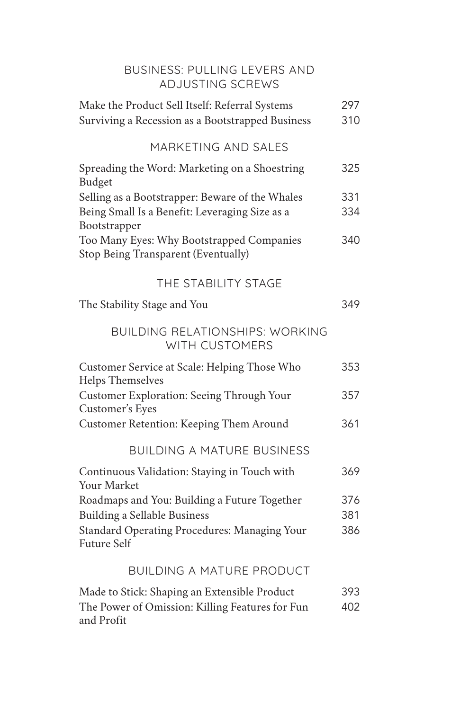| BUSINESS: PULLING LEVERS AND<br><b>ADJUSTING SCREWS</b>                                                           |            |
|-------------------------------------------------------------------------------------------------------------------|------------|
| Make the Product Sell Itself: Referral Systems<br>Surviving a Recession as a Bootstrapped Business                | 297<br>310 |
| MARKETING AND SALES                                                                                               |            |
| Spreading the Word: Marketing on a Shoestring<br>Budget                                                           | 325        |
| Selling as a Bootstrapper: Beware of the Whales<br>Being Small Is a Benefit: Leveraging Size as a<br>Bootstrapper | 331<br>334 |
| Too Many Eyes: Why Bootstrapped Companies<br>Stop Being Transparent (Eventually)                                  | 340        |
| THE STABILITY STAGE                                                                                               |            |
| The Stability Stage and You                                                                                       | 349        |
| <b>BUILDING RELATIONSHIPS: WORKING</b><br>WITH CUSTOMERS                                                          |            |
| Customer Service at Scale: Helping Those Who<br>Helps Themselves                                                  | 353        |
| Customer Exploration: Seeing Through Your<br>Customer's Eyes                                                      | 357        |
| Customer Retention: Keeping Them Around                                                                           | 361        |
| <b>BUILDING A MATURE BUSINESS</b>                                                                                 |            |
| Continuous Validation: Staying in Touch with<br>Your Market                                                       | 369        |
| Roadmaps and You: Building a Future Together<br>Building a Sellable Business                                      | 376<br>381 |
| Standard Operating Procedures: Managing Your<br><b>Future Self</b>                                                | 386        |
| <b>BUILDING A MATURE PRODUCT</b>                                                                                  |            |
| Made to Stick: Shaping an Extensible Product<br>The Power of Omission: Killing Features for Fun<br>and Profit     | 393<br>402 |